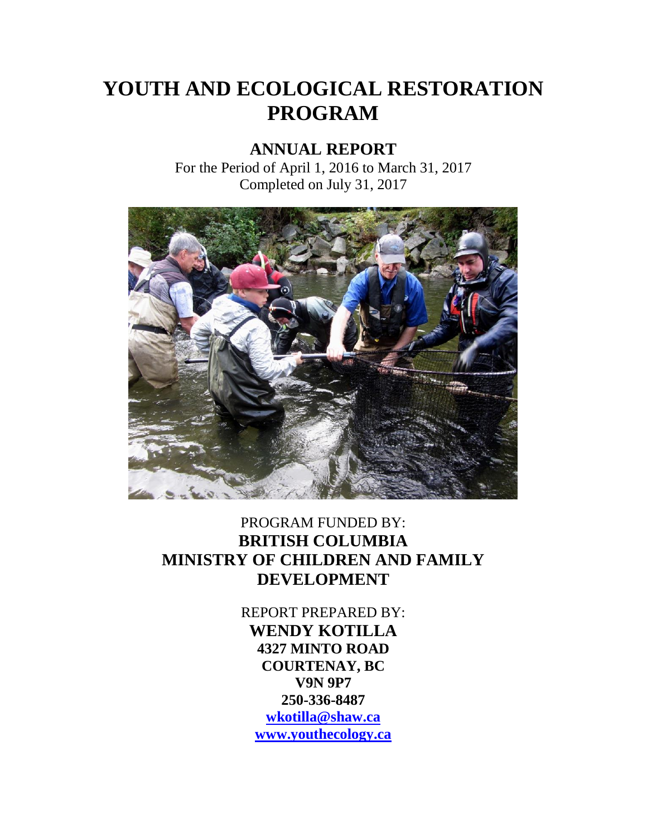# **YOUTH AND ECOLOGICAL RESTORATION PROGRAM**

## **ANNUAL REPORT**

For the Period of April 1, 2016 to March 31, 2017 Completed on July 31, 2017



## PROGRAM FUNDED BY: **BRITISH COLUMBIA MINISTRY OF CHILDREN AND FAMILY DEVELOPMENT**

REPORT PREPARED BY: **WENDY KOTILLA 4327 MINTO ROAD COURTENAY, BC V9N 9P7 250-336-8487 [wkotilla@shaw.ca](mailto:wkotilla@shaw.ca) [www.youthecology.ca](http://www.youthecology.ca/)**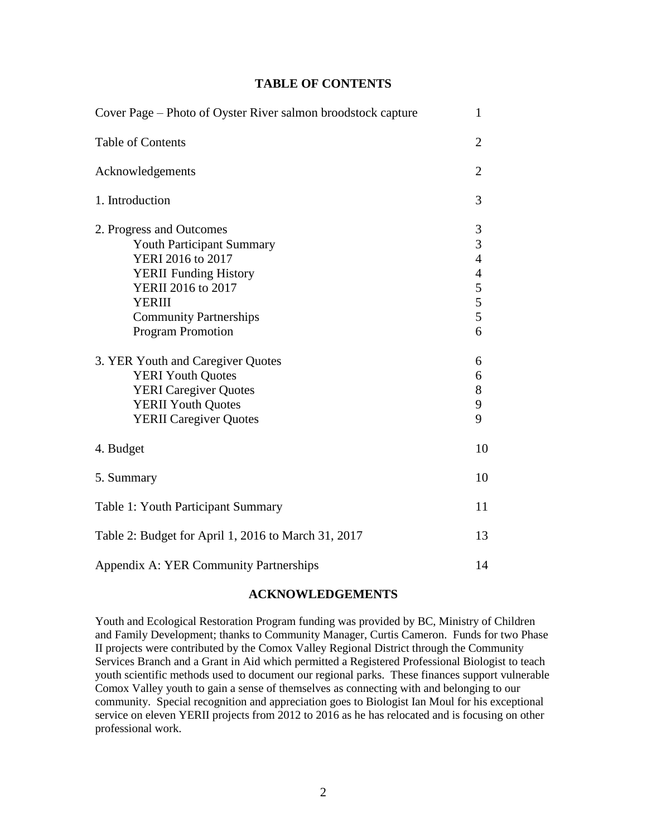## **TABLE OF CONTENTS**

| Cover Page – Photo of Oyster River salmon broodstock capture                                                                                                                                                          |                                                                                                            |  |
|-----------------------------------------------------------------------------------------------------------------------------------------------------------------------------------------------------------------------|------------------------------------------------------------------------------------------------------------|--|
| <b>Table of Contents</b>                                                                                                                                                                                              | $\overline{2}$                                                                                             |  |
| Acknowledgements                                                                                                                                                                                                      | $\overline{2}$                                                                                             |  |
| 1. Introduction                                                                                                                                                                                                       | 3                                                                                                          |  |
| 2. Progress and Outcomes<br><b>Youth Participant Summary</b><br>YERI 2016 to 2017<br><b>YERII</b> Funding History<br>YERII 2016 to 2017<br><b>YERIII</b><br><b>Community Partnerships</b><br><b>Program Promotion</b> | 3<br>$\overline{3}$<br>$\overline{4}$<br>$\begin{array}{c} 4 \\ 5 \\ 5 \end{array}$<br>$\overline{5}$<br>6 |  |
| 3. YER Youth and Caregiver Quotes<br><b>YERI Youth Quotes</b><br><b>YERI</b> Caregiver Quotes<br><b>YERII Youth Quotes</b><br><b>YERII</b> Caregiver Quotes                                                           | 6<br>6<br>$8\,$<br>9<br>9                                                                                  |  |
| 4. Budget                                                                                                                                                                                                             | 10                                                                                                         |  |
| 5. Summary                                                                                                                                                                                                            | 10                                                                                                         |  |
| Table 1: Youth Participant Summary                                                                                                                                                                                    | 11                                                                                                         |  |
| Table 2: Budget for April 1, 2016 to March 31, 2017                                                                                                                                                                   | 13                                                                                                         |  |
| Appendix A: YER Community Partnerships                                                                                                                                                                                | 14                                                                                                         |  |

## **ACKNOWLEDGEMENTS**

Youth and Ecological Restoration Program funding was provided by BC, Ministry of Children and Family Development; thanks to Community Manager, Curtis Cameron. Funds for two Phase II projects were contributed by the Comox Valley Regional District through the Community Services Branch and a Grant in Aid which permitted a Registered Professional Biologist to teach youth scientific methods used to document our regional parks. These finances support vulnerable Comox Valley youth to gain a sense of themselves as connecting with and belonging to our community. Special recognition and appreciation goes to Biologist Ian Moul for his exceptional service on eleven YERII projects from 2012 to 2016 as he has relocated and is focusing on other professional work.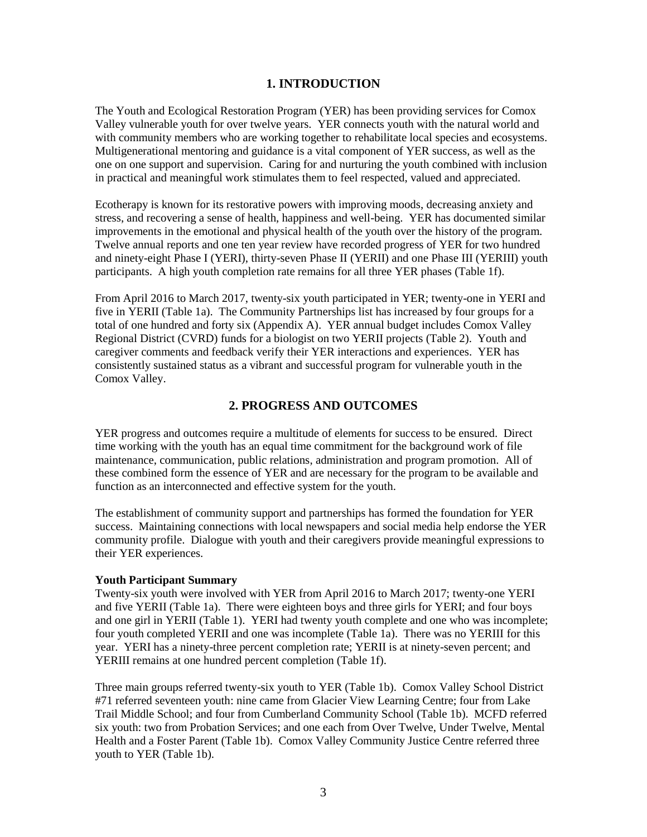## **1. INTRODUCTION**

The Youth and Ecological Restoration Program (YER) has been providing services for Comox Valley vulnerable youth for over twelve years. YER connects youth with the natural world and with community members who are working together to rehabilitate local species and ecosystems. Multigenerational mentoring and guidance is a vital component of YER success, as well as the one on one support and supervision. Caring for and nurturing the youth combined with inclusion in practical and meaningful work stimulates them to feel respected, valued and appreciated.

Ecotherapy is known for its restorative powers with improving moods, decreasing anxiety and stress, and recovering a sense of health, happiness and well-being. YER has documented similar improvements in the emotional and physical health of the youth over the history of the program. Twelve annual reports and one ten year review have recorded progress of YER for two hundred and ninety-eight Phase I (YERI), thirty-seven Phase II (YERII) and one Phase III (YERIII) youth participants. A high youth completion rate remains for all three YER phases (Table 1f).

From April 2016 to March 2017, twenty-six youth participated in YER; twenty-one in YERI and five in YERII (Table 1a). The Community Partnerships list has increased by four groups for a total of one hundred and forty six (Appendix A). YER annual budget includes Comox Valley Regional District (CVRD) funds for a biologist on two YERII projects (Table 2). Youth and caregiver comments and feedback verify their YER interactions and experiences. YER has consistently sustained status as a vibrant and successful program for vulnerable youth in the Comox Valley.

## **2. PROGRESS AND OUTCOMES**

YER progress and outcomes require a multitude of elements for success to be ensured. Direct time working with the youth has an equal time commitment for the background work of file maintenance, communication, public relations, administration and program promotion. All of these combined form the essence of YER and are necessary for the program to be available and function as an interconnected and effective system for the youth.

The establishment of community support and partnerships has formed the foundation for YER success. Maintaining connections with local newspapers and social media help endorse the YER community profile. Dialogue with youth and their caregivers provide meaningful expressions to their YER experiences.

#### **Youth Participant Summary**

Twenty-six youth were involved with YER from April 2016 to March 2017; twenty-one YERI and five YERII (Table 1a). There were eighteen boys and three girls for YERI; and four boys and one girl in YERII (Table 1). YERI had twenty youth complete and one who was incomplete; four youth completed YERII and one was incomplete (Table 1a). There was no YERIII for this year. YERI has a ninety-three percent completion rate; YERII is at ninety-seven percent; and YERIII remains at one hundred percent completion (Table 1f).

Three main groups referred twenty-six youth to YER (Table 1b). Comox Valley School District #71 referred seventeen youth: nine came from Glacier View Learning Centre; four from Lake Trail Middle School; and four from Cumberland Community School (Table 1b). MCFD referred six youth: two from Probation Services; and one each from Over Twelve, Under Twelve, Mental Health and a Foster Parent (Table 1b). Comox Valley Community Justice Centre referred three youth to YER (Table 1b).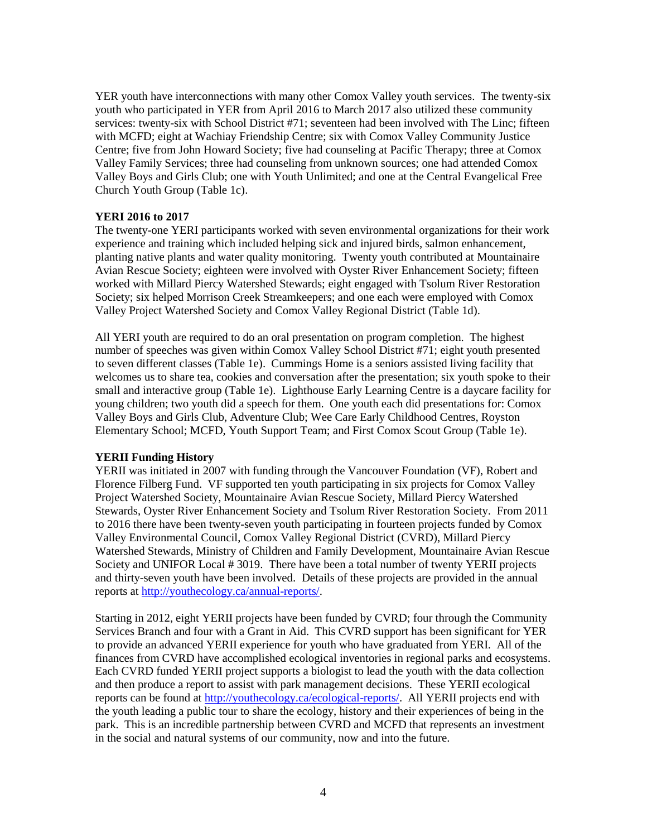YER youth have interconnections with many other Comox Valley youth services. The twenty-six youth who participated in YER from April 2016 to March 2017 also utilized these community services: twenty-six with School District #71; seventeen had been involved with The Linc; fifteen with MCFD; eight at Wachiay Friendship Centre; six with Comox Valley Community Justice Centre; five from John Howard Society; five had counseling at Pacific Therapy; three at Comox Valley Family Services; three had counseling from unknown sources; one had attended Comox Valley Boys and Girls Club; one with Youth Unlimited; and one at the Central Evangelical Free Church Youth Group (Table 1c).

#### **YERI 2016 to 2017**

The twenty-one YERI participants worked with seven environmental organizations for their work experience and training which included helping sick and injured birds, salmon enhancement, planting native plants and water quality monitoring. Twenty youth contributed at Mountainaire Avian Rescue Society; eighteen were involved with Oyster River Enhancement Society; fifteen worked with Millard Piercy Watershed Stewards; eight engaged with Tsolum River Restoration Society; six helped Morrison Creek Streamkeepers; and one each were employed with Comox Valley Project Watershed Society and Comox Valley Regional District (Table 1d).

All YERI youth are required to do an oral presentation on program completion. The highest number of speeches was given within Comox Valley School District #71; eight youth presented to seven different classes (Table 1e). Cummings Home is a seniors assisted living facility that welcomes us to share tea, cookies and conversation after the presentation; six youth spoke to their small and interactive group (Table 1e). Lighthouse Early Learning Centre is a daycare facility for young children; two youth did a speech for them. One youth each did presentations for: Comox Valley Boys and Girls Club, Adventure Club; Wee Care Early Childhood Centres, Royston Elementary School; MCFD, Youth Support Team; and First Comox Scout Group (Table 1e).

#### **YERII Funding History**

YERII was initiated in 2007 with funding through the Vancouver Foundation (VF), Robert and Florence Filberg Fund. VF supported ten youth participating in six projects for Comox Valley Project Watershed Society, Mountainaire Avian Rescue Society, Millard Piercy Watershed Stewards, Oyster River Enhancement Society and Tsolum River Restoration Society. From 2011 to 2016 there have been twenty-seven youth participating in fourteen projects funded by Comox Valley Environmental Council, Comox Valley Regional District (CVRD), Millard Piercy Watershed Stewards, Ministry of Children and Family Development, Mountainaire Avian Rescue Society and UNIFOR Local # 3019. There have been a total number of twenty YERII projects and thirty-seven youth have been involved. Details of these projects are provided in the annual reports at [http://youthecology.ca/annual-reports/.](http://youthecology.ca/annual-reports/)

Starting in 2012, eight YERII projects have been funded by CVRD; four through the Community Services Branch and four with a Grant in Aid. This CVRD support has been significant for YER to provide an advanced YERII experience for youth who have graduated from YERI. All of the finances from CVRD have accomplished ecological inventories in regional parks and ecosystems. Each CVRD funded YERII project supports a biologist to lead the youth with the data collection and then produce a report to assist with park management decisions. These YERII ecological reports can be found at [http://youthecology.ca/ecological-reports/.](http://youthecology.ca/ecological-reports/) All YERII projects end with the youth leading a public tour to share the ecology, history and their experiences of being in the park. This is an incredible partnership between CVRD and MCFD that represents an investment in the social and natural systems of our community, now and into the future.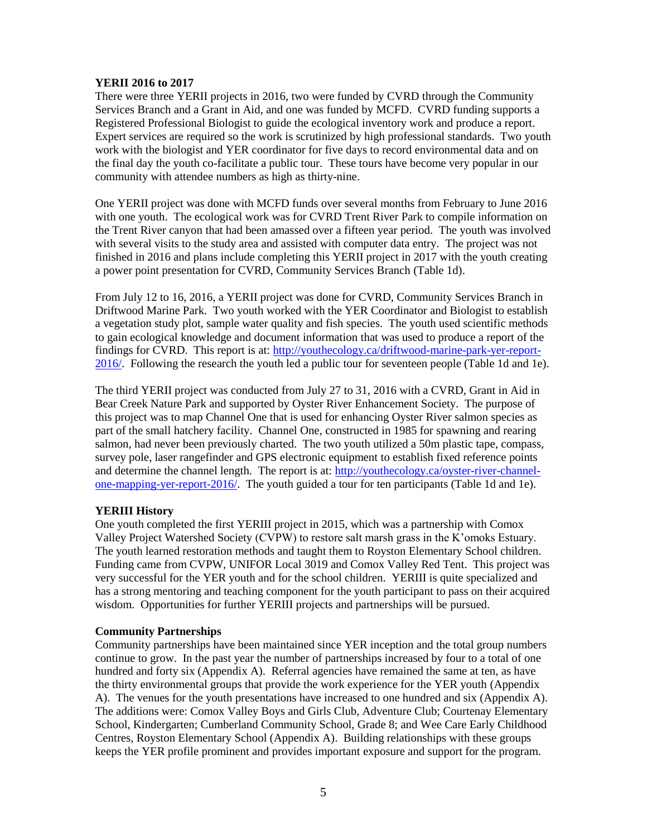#### **YERII 2016 to 2017**

There were three YERII projects in 2016, two were funded by CVRD through the Community Services Branch and a Grant in Aid, and one was funded by MCFD. CVRD funding supports a Registered Professional Biologist to guide the ecological inventory work and produce a report. Expert services are required so the work is scrutinized by high professional standards. Two youth work with the biologist and YER coordinator for five days to record environmental data and on the final day the youth co-facilitate a public tour. These tours have become very popular in our community with attendee numbers as high as thirty-nine.

One YERII project was done with MCFD funds over several months from February to June 2016 with one youth. The ecological work was for CVRD Trent River Park to compile information on the Trent River canyon that had been amassed over a fifteen year period. The youth was involved with several visits to the study area and assisted with computer data entry. The project was not finished in 2016 and plans include completing this YERII project in 2017 with the youth creating a power point presentation for CVRD, Community Services Branch (Table 1d).

From July 12 to 16, 2016, a YERII project was done for CVRD, Community Services Branch in Driftwood Marine Park. Two youth worked with the YER Coordinator and Biologist to establish a vegetation study plot, sample water quality and fish species. The youth used scientific methods to gain ecological knowledge and document information that was used to produce a report of the findings for CVRD. This report is at: [http://youthecology.ca/driftwood-marine-park-yer-report-](http://youthecology.ca/driftwood-marine-park-yer-report-2016/)[2016/.](http://youthecology.ca/driftwood-marine-park-yer-report-2016/) Following the research the youth led a public tour for seventeen people (Table 1d and 1e).

The third YERII project was conducted from July 27 to 31, 2016 with a CVRD, Grant in Aid in Bear Creek Nature Park and supported by Oyster River Enhancement Society. The purpose of this project was to map Channel One that is used for enhancing Oyster River salmon species as part of the small hatchery facility. Channel One, constructed in 1985 for spawning and rearing salmon, had never been previously charted. The two youth utilized a 50m plastic tape, compass, survey pole, laser rangefinder and GPS electronic equipment to establish fixed reference points and determine the channel length. The report is at: [http://youthecology.ca/oyster-river-channel](http://youthecology.ca/oyster-river-channel-one-mapping-yer-report-2016/)[one-mapping-yer-report-2016/.](http://youthecology.ca/oyster-river-channel-one-mapping-yer-report-2016/) The youth guided a tour for ten participants (Table 1d and 1e).

### **YERIII History**

One youth completed the first YERIII project in 2015, which was a partnership with Comox Valley Project Watershed Society (CVPW) to restore salt marsh grass in the K'omoks Estuary. The youth learned restoration methods and taught them to Royston Elementary School children. Funding came from CVPW, UNIFOR Local 3019 and Comox Valley Red Tent. This project was very successful for the YER youth and for the school children. YERIII is quite specialized and has a strong mentoring and teaching component for the youth participant to pass on their acquired wisdom. Opportunities for further YERIII projects and partnerships will be pursued.

### **Community Partnerships**

Community partnerships have been maintained since YER inception and the total group numbers continue to grow. In the past year the number of partnerships increased by four to a total of one hundred and forty six (Appendix A). Referral agencies have remained the same at ten, as have the thirty environmental groups that provide the work experience for the YER youth (Appendix A). The venues for the youth presentations have increased to one hundred and six (Appendix A). The additions were: Comox Valley Boys and Girls Club, Adventure Club; Courtenay Elementary School, Kindergarten; Cumberland Community School, Grade 8; and Wee Care Early Childhood Centres, Royston Elementary School (Appendix A). Building relationships with these groups keeps the YER profile prominent and provides important exposure and support for the program.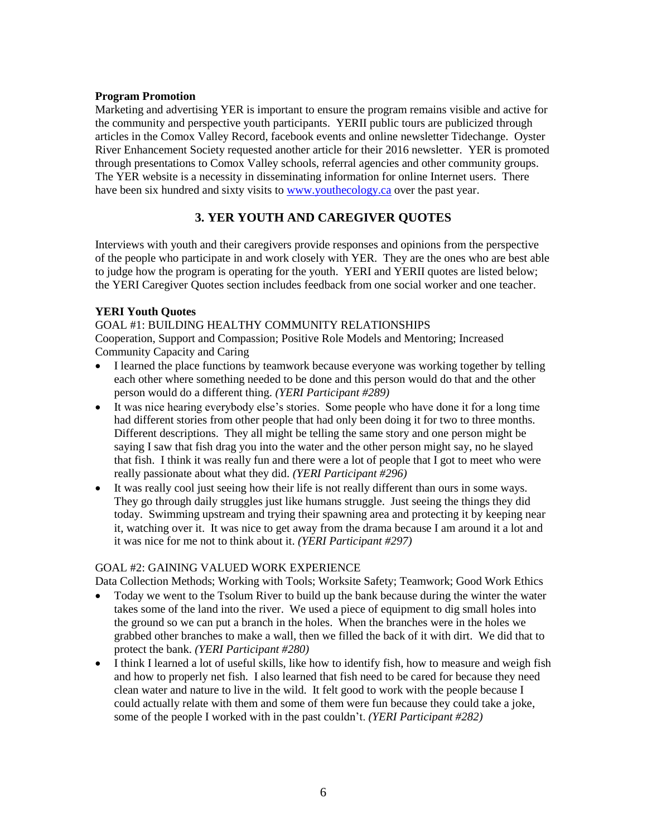### **Program Promotion**

Marketing and advertising YER is important to ensure the program remains visible and active for the community and perspective youth participants. YERII public tours are publicized through articles in the Comox Valley Record, facebook events and online newsletter Tidechange. Oyster River Enhancement Society requested another article for their 2016 newsletter. YER is promoted through presentations to Comox Valley schools, referral agencies and other community groups. The YER website is a necessity in disseminating information for online Internet users. There have been six hundred and sixty visits to [www.youthecology.ca](http://www.youthecology.ca/) over the past year.

## **3. YER YOUTH AND CAREGIVER QUOTES**

Interviews with youth and their caregivers provide responses and opinions from the perspective of the people who participate in and work closely with YER. They are the ones who are best able to judge how the program is operating for the youth. YERI and YERII quotes are listed below; the YERI Caregiver Quotes section includes feedback from one social worker and one teacher.

## **YERI Youth Quotes**

GOAL #1: BUILDING HEALTHY COMMUNITY RELATIONSHIPS

Cooperation, Support and Compassion; Positive Role Models and Mentoring; Increased Community Capacity and Caring

- I learned the place functions by teamwork because everyone was working together by telling each other where something needed to be done and this person would do that and the other person would do a different thing. *(YERI Participant #289)*
- It was nice hearing everybody else's stories. Some people who have done it for a long time had different stories from other people that had only been doing it for two to three months. Different descriptions. They all might be telling the same story and one person might be saying I saw that fish drag you into the water and the other person might say, no he slayed that fish. I think it was really fun and there were a lot of people that I got to meet who were really passionate about what they did. *(YERI Participant #296)*
- It was really cool just seeing how their life is not really different than ours in some ways. They go through daily struggles just like humans struggle. Just seeing the things they did today. Swimming upstream and trying their spawning area and protecting it by keeping near it, watching over it. It was nice to get away from the drama because I am around it a lot and it was nice for me not to think about it. *(YERI Participant #297)*

### GOAL #2: GAINING VALUED WORK EXPERIENCE

Data Collection Methods; Working with Tools; Worksite Safety; Teamwork; Good Work Ethics

- Today we went to the Tsolum River to build up the bank because during the winter the water takes some of the land into the river. We used a piece of equipment to dig small holes into the ground so we can put a branch in the holes. When the branches were in the holes we grabbed other branches to make a wall, then we filled the back of it with dirt. We did that to protect the bank. *(YERI Participant #280)*
- I think I learned a lot of useful skills, like how to identify fish, how to measure and weigh fish and how to properly net fish. I also learned that fish need to be cared for because they need clean water and nature to live in the wild. It felt good to work with the people because I could actually relate with them and some of them were fun because they could take a joke, some of the people I worked with in the past couldn't. *(YERI Participant #282)*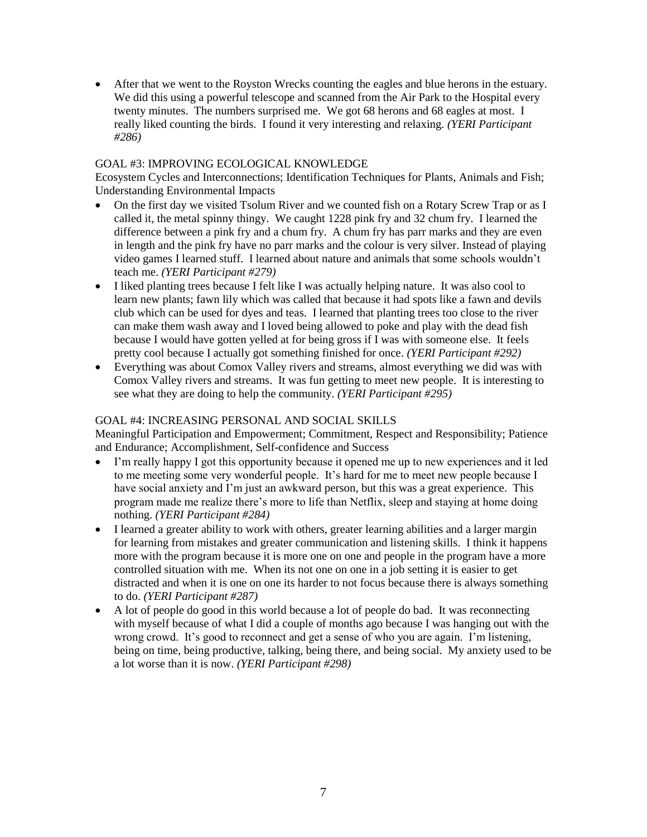• After that we went to the Royston Wrecks counting the eagles and blue herons in the estuary. We did this using a powerful telescope and scanned from the Air Park to the Hospital every twenty minutes. The numbers surprised me. We got 68 herons and 68 eagles at most. I really liked counting the birds. I found it very interesting and relaxing. *(YERI Participant #286)*

### GOAL #3: IMPROVING ECOLOGICAL KNOWLEDGE

Ecosystem Cycles and Interconnections; Identification Techniques for Plants, Animals and Fish; Understanding Environmental Impacts

- On the first day we visited Tsolum River and we counted fish on a Rotary Screw Trap or as I called it, the metal spinny thingy. We caught 1228 pink fry and 32 chum fry. I learned the difference between a pink fry and a chum fry. A chum fry has parr marks and they are even in length and the pink fry have no parr marks and the colour is very silver. Instead of playing video games I learned stuff. I learned about nature and animals that some schools wouldn't teach me. *(YERI Participant #279)*
- I liked planting trees because I felt like I was actually helping nature. It was also cool to learn new plants; fawn lily which was called that because it had spots like a fawn and devils club which can be used for dyes and teas. I learned that planting trees too close to the river can make them wash away and I loved being allowed to poke and play with the dead fish because I would have gotten yelled at for being gross if I was with someone else. It feels pretty cool because I actually got something finished for once. *(YERI Participant #292)*
- Everything was about Comox Valley rivers and streams, almost everything we did was with Comox Valley rivers and streams. It was fun getting to meet new people. It is interesting to see what they are doing to help the community. *(YERI Participant #295)*

## GOAL #4: INCREASING PERSONAL AND SOCIAL SKILLS

Meaningful Participation and Empowerment; Commitment, Respect and Responsibility; Patience and Endurance; Accomplishment, Self-confidence and Success

- I'm really happy I got this opportunity because it opened me up to new experiences and it led to me meeting some very wonderful people. It's hard for me to meet new people because I have social anxiety and I'm just an awkward person, but this was a great experience. This program made me realize there's more to life than Netflix, sleep and staying at home doing nothing. *(YERI Participant #284)*
- I learned a greater ability to work with others, greater learning abilities and a larger margin for learning from mistakes and greater communication and listening skills. I think it happens more with the program because it is more one on one and people in the program have a more controlled situation with me. When its not one on one in a job setting it is easier to get distracted and when it is one on one its harder to not focus because there is always something to do. *(YERI Participant #287)*
- A lot of people do good in this world because a lot of people do bad. It was reconnecting with myself because of what I did a couple of months ago because I was hanging out with the wrong crowd. It's good to reconnect and get a sense of who you are again. I'm listening, being on time, being productive, talking, being there, and being social. My anxiety used to be a lot worse than it is now. *(YERI Participant #298)*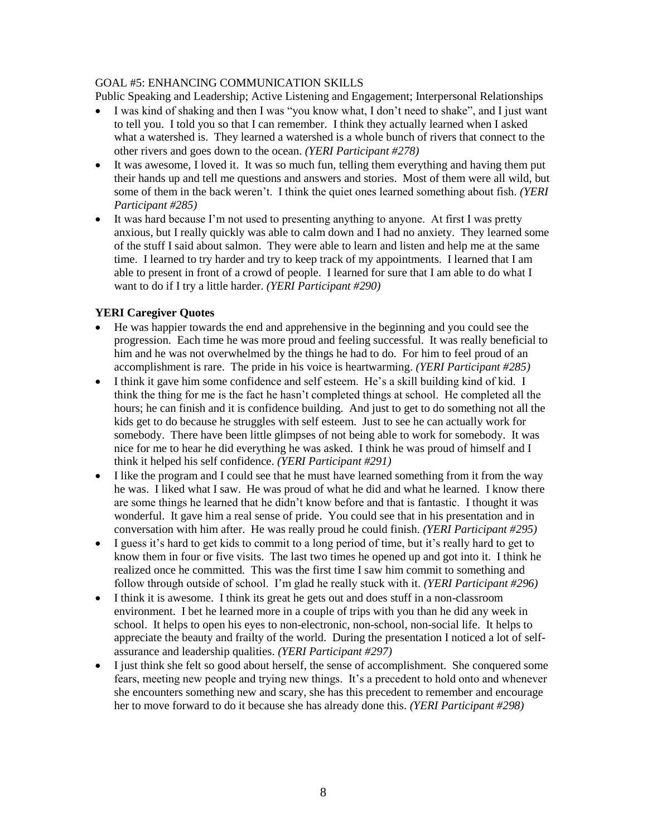### GOAL #5: ENHANCING COMMUNICATION SKILLS

Public Speaking and Leadership; Active Listening and Engagement; Interpersonal Relationships

- I was kind of shaking and then I was "you know what, I don't need to shake", and I just want to tell you. I told you so that I can remember. I think they actually learned when I asked what a watershed is. They learned a watershed is a whole bunch of rivers that connect to the other rivers and goes down to the ocean. *(YERI Participant #278)*
- It was awesome, I loved it. It was so much fun, telling them everything and having them put their hands up and tell me questions and answers and stories. Most of them were all wild, but some of them in the back weren't. I think the quiet ones learned something about fish. *(YERI Participant #285)*
- It was hard because I'm not used to presenting anything to anyone. At first I was pretty anxious, but I really quickly was able to calm down and I had no anxiety. They learned some of the stuff I said about salmon. They were able to learn and listen and help me at the same time. I learned to try harder and try to keep track of my appointments. I learned that I am able to present in front of a crowd of people. I learned for sure that I am able to do what I want to do if I try a little harder. *(YERI Participant #290)*

## **YERI Caregiver Quotes**

- He was happier towards the end and apprehensive in the beginning and you could see the progression. Each time he was more proud and feeling successful. It was really beneficial to him and he was not overwhelmed by the things he had to do. For him to feel proud of an accomplishment is rare. The pride in his voice is heartwarming. *(YERI Participant #285)*
- I think it gave him some confidence and self esteem. He's a skill building kind of kid. I think the thing for me is the fact he hasn't completed things at school. He completed all the hours; he can finish and it is confidence building. And just to get to do something not all the kids get to do because he struggles with self esteem. Just to see he can actually work for somebody. There have been little glimpses of not being able to work for somebody. It was nice for me to hear he did everything he was asked. I think he was proud of himself and I think it helped his self confidence. *(YERI Participant #291)*
- I like the program and I could see that he must have learned something from it from the way he was. I liked what I saw. He was proud of what he did and what he learned. I know there are some things he learned that he didn't know before and that is fantastic. I thought it was wonderful. It gave him a real sense of pride. You could see that in his presentation and in conversation with him after. He was really proud he could finish. *(YERI Participant #295)*
- I guess it's hard to get kids to commit to a long period of time, but it's really hard to get to know them in four or five visits. The last two times he opened up and got into it. I think he realized once he committed. This was the first time I saw him commit to something and follow through outside of school. I'm glad he really stuck with it. *(YERI Participant #296)*
- I think it is awesome. I think its great he gets out and does stuff in a non-classroom environment. I bet he learned more in a couple of trips with you than he did any week in school. It helps to open his eyes to non-electronic, non-school, non-social life. It helps to appreciate the beauty and frailty of the world. During the presentation I noticed a lot of selfassurance and leadership qualities. *(YERI Participant #297)*
- I just think she felt so good about herself, the sense of accomplishment. She conquered some fears, meeting new people and trying new things. It's a precedent to hold onto and whenever she encounters something new and scary, she has this precedent to remember and encourage her to move forward to do it because she has already done this. *(YERI Participant #298)*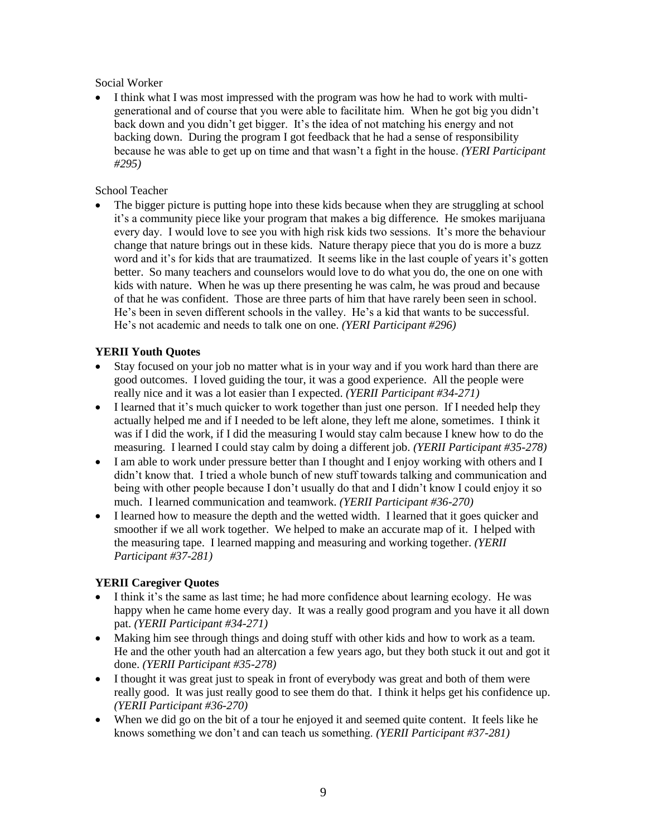Social Worker

I think what I was most impressed with the program was how he had to work with multigenerational and of course that you were able to facilitate him. When he got big you didn't back down and you didn't get bigger. It's the idea of not matching his energy and not backing down. During the program I got feedback that he had a sense of responsibility because he was able to get up on time and that wasn't a fight in the house. *(YERI Participant #295)*

## School Teacher

The bigger picture is putting hope into these kids because when they are struggling at school it's a community piece like your program that makes a big difference. He smokes marijuana every day. I would love to see you with high risk kids two sessions. It's more the behaviour change that nature brings out in these kids. Nature therapy piece that you do is more a buzz word and it's for kids that are traumatized. It seems like in the last couple of years it's gotten better. So many teachers and counselors would love to do what you do, the one on one with kids with nature. When he was up there presenting he was calm, he was proud and because of that he was confident. Those are three parts of him that have rarely been seen in school. He's been in seven different schools in the valley. He's a kid that wants to be successful. He's not academic and needs to talk one on one. *(YERI Participant #296)*

## **YERII Youth Quotes**

- Stay focused on your job no matter what is in your way and if you work hard than there are good outcomes. I loved guiding the tour, it was a good experience. All the people were really nice and it was a lot easier than I expected. *(YERII Participant #34-271)*
- I learned that it's much quicker to work together than just one person. If I needed help they actually helped me and if I needed to be left alone, they left me alone, sometimes. I think it was if I did the work, if I did the measuring I would stay calm because I knew how to do the measuring. I learned I could stay calm by doing a different job. *(YERII Participant #35-278)*
- I am able to work under pressure better than I thought and I enjoy working with others and I didn't know that. I tried a whole bunch of new stuff towards talking and communication and being with other people because I don't usually do that and I didn't know I could enjoy it so much. I learned communication and teamwork. *(YERII Participant #36-270)*
- I learned how to measure the depth and the wetted width. I learned that it goes quicker and smoother if we all work together. We helped to make an accurate map of it. I helped with the measuring tape. I learned mapping and measuring and working together. *(YERII Participant #37-281)*

## **YERII Caregiver Quotes**

- I think it's the same as last time; he had more confidence about learning ecology. He was happy when he came home every day. It was a really good program and you have it all down pat. *(YERII Participant #34-271)*
- Making him see through things and doing stuff with other kids and how to work as a team. He and the other youth had an altercation a few years ago, but they both stuck it out and got it done. *(YERII Participant #35-278)*
- I thought it was great just to speak in front of everybody was great and both of them were really good. It was just really good to see them do that. I think it helps get his confidence up. *(YERII Participant #36-270)*
- When we did go on the bit of a tour he enjoyed it and seemed quite content. It feels like he knows something we don't and can teach us something. *(YERII Participant #37-281)*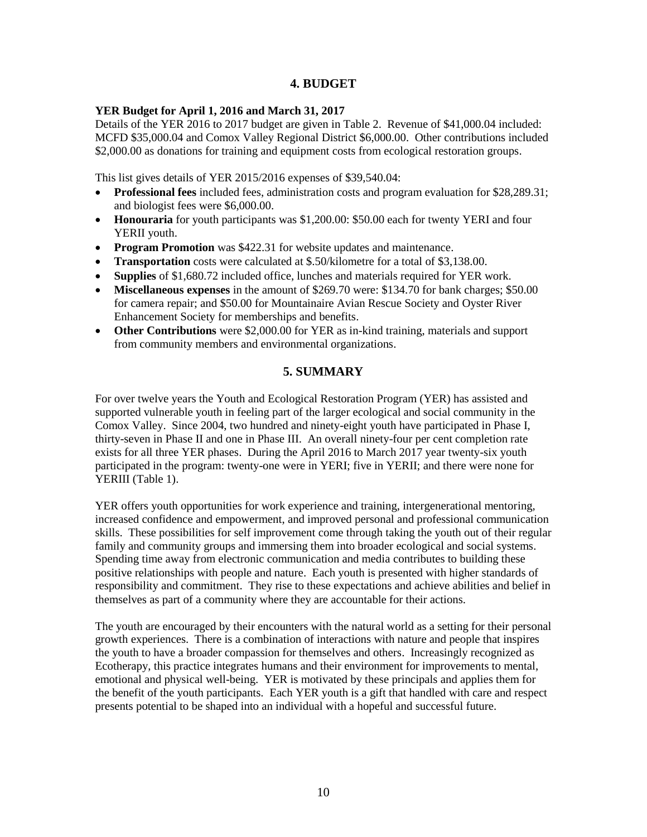## **4. BUDGET**

## **YER Budget for April 1, 2016 and March 31, 2017**

Details of the YER 2016 to 2017 budget are given in Table 2. Revenue of \$41,000.04 included: MCFD \$35,000.04 and Comox Valley Regional District \$6,000.00. Other contributions included \$2,000.00 as donations for training and equipment costs from ecological restoration groups.

This list gives details of YER 2015/2016 expenses of \$39,540.04:

- **Professional fees** included fees, administration costs and program evaluation for \$28,289.31; and biologist fees were \$6,000.00.
- **Honouraria** for youth participants was \$1,200.00: \$50.00 each for twenty YERI and four YERII youth.
- **Program Promotion** was \$422.31 for website updates and maintenance.
- **Transportation** costs were calculated at \$.50/kilometre for a total of \$3,138.00.
- **Supplies** of \$1,680.72 included office, lunches and materials required for YER work.
- **Miscellaneous expenses** in the amount of \$269.70 were: \$134.70 for bank charges; \$50.00 for camera repair; and \$50.00 for Mountainaire Avian Rescue Society and Oyster River Enhancement Society for memberships and benefits.
- **Other Contributions** were \$2,000.00 for YER as in-kind training, materials and support from community members and environmental organizations.

## **5. SUMMARY**

For over twelve years the Youth and Ecological Restoration Program (YER) has assisted and supported vulnerable youth in feeling part of the larger ecological and social community in the Comox Valley. Since 2004, two hundred and ninety-eight youth have participated in Phase I, thirty-seven in Phase II and one in Phase III. An overall ninety-four per cent completion rate exists for all three YER phases. During the April 2016 to March 2017 year twenty-six youth participated in the program: twenty-one were in YERI; five in YERII; and there were none for YERIII (Table 1).

YER offers youth opportunities for work experience and training, intergenerational mentoring, increased confidence and empowerment, and improved personal and professional communication skills. These possibilities for self improvement come through taking the youth out of their regular family and community groups and immersing them into broader ecological and social systems. Spending time away from electronic communication and media contributes to building these positive relationships with people and nature. Each youth is presented with higher standards of responsibility and commitment. They rise to these expectations and achieve abilities and belief in themselves as part of a community where they are accountable for their actions.

The youth are encouraged by their encounters with the natural world as a setting for their personal growth experiences. There is a combination of interactions with nature and people that inspires the youth to have a broader compassion for themselves and others. Increasingly recognized as Ecotherapy, this practice integrates humans and their environment for improvements to mental, emotional and physical well-being. YER is motivated by these principals and applies them for the benefit of the youth participants. Each YER youth is a gift that handled with care and respect presents potential to be shaped into an individual with a hopeful and successful future.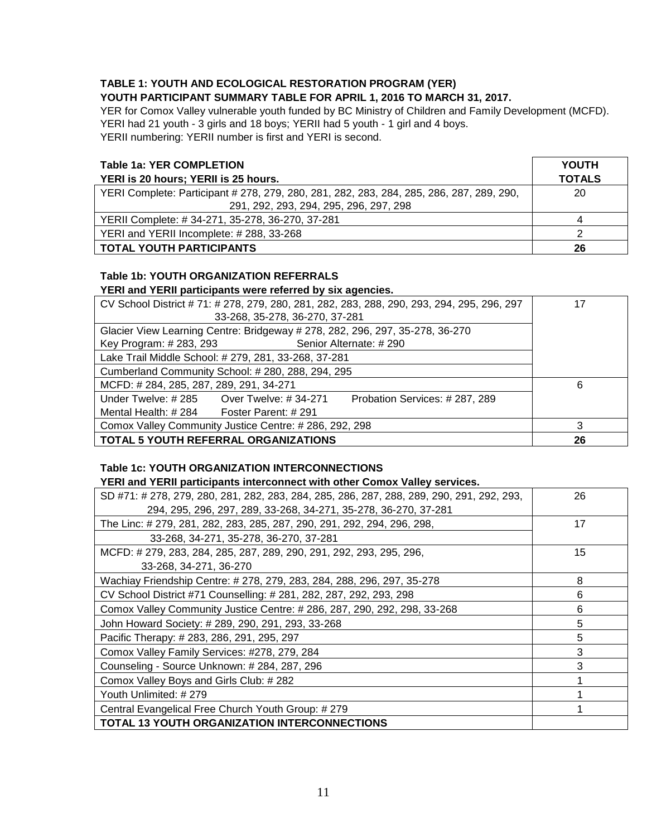## **TABLE 1: YOUTH AND ECOLOGICAL RESTORATION PROGRAM (YER)**

#### **YOUTH PARTICIPANT SUMMARY TABLE FOR APRIL 1, 2016 TO MARCH 31, 2017.**

YER for Comox Valley vulnerable youth funded by BC Ministry of Children and Family Development (MCFD). YERI had 21 youth - 3 girls and 18 boys; YERII had 5 youth - 1 girl and 4 boys. YERII numbering: YERII number is first and YERI is second.

| <b>Table 1a: YER COMPLETION</b>                                                          | <b>YOUTH</b>  |
|------------------------------------------------------------------------------------------|---------------|
| YERI is 20 hours; YERII is 25 hours.                                                     | <b>TOTALS</b> |
| YERI Complete: Participant # 278, 279, 280, 281, 282, 283, 284, 285, 286, 287, 289, 290, | 20            |
| 291, 292, 293, 294, 295, 296, 297, 298                                                   |               |
| YERII Complete: #34-271, 35-278, 36-270, 37-281                                          | 4             |
| YERI and YERII Incomplete: #288, 33-268                                                  |               |
| <b>TOTAL YOUTH PARTICIPANTS</b>                                                          | 26            |

## **Table 1b: YOUTH ORGANIZATION REFERRALS**

## **YERI and YERII participants were referred by six agencies.**

| CV School District # 71: # 278, 279, 280, 281, 282, 283, 288, 290, 293, 294, 295, 296, 297 | 17 |
|--------------------------------------------------------------------------------------------|----|
| 33-268, 35-278, 36-270, 37-281                                                             |    |
| Glacier View Learning Centre: Bridgeway # 278, 282, 296, 297, 35-278, 36-270               |    |
| Senior Alternate: #290<br>Key Program: # 283, 293                                          |    |
| Lake Trail Middle School: # 279, 281, 33-268, 37-281                                       |    |
| Cumberland Community School: #280, 288, 294, 295                                           |    |
| MCFD: #284, 285, 287, 289, 291, 34-271                                                     | 6  |
| Under Twelve: # 285 Over Twelve: # 34-271<br>Probation Services: #287, 289                 |    |
| Mental Health: $\# 284$ Foster Parent: $\# 291$                                            |    |
| Comox Valley Community Justice Centre: #286, 292, 298                                      |    |
| <b>TOTAL 5 YOUTH REFERRAL ORGANIZATIONS</b>                                                | 26 |

## **Table 1c: YOUTH ORGANIZATION INTERCONNECTIONS**

#### **YERI and YERII participants interconnect with other Comox Valley services.**

| SD #71: # 278, 279, 280, 281, 282, 283, 284, 285, 286, 287, 288, 289, 290, 291, 292, 293, | 26 |
|-------------------------------------------------------------------------------------------|----|
| 294, 295, 296, 297, 289, 33-268, 34-271, 35-278, 36-270, 37-281                           |    |
| The Linc: # 279, 281, 282, 283, 285, 287, 290, 291, 292, 294, 296, 298,                   | 17 |
| 33-268, 34-271, 35-278, 36-270, 37-281                                                    |    |
| MCFD: # 279, 283, 284, 285, 287, 289, 290, 291, 292, 293, 295, 296,                       | 15 |
| 33-268, 34-271, 36-270                                                                    |    |
| Wachiay Friendship Centre: # 278, 279, 283, 284, 288, 296, 297, 35-278                    | 8  |
| CV School District #71 Counselling: # 281, 282, 287, 292, 293, 298                        | 6  |
| Comox Valley Community Justice Centre: # 286, 287, 290, 292, 298, 33-268                  | 6  |
| John Howard Society: # 289, 290, 291, 293, 33-268                                         | 5  |
| Pacific Therapy: # 283, 286, 291, 295, 297                                                | 5  |
| Comox Valley Family Services: #278, 279, 284                                              | 3  |
| Counseling - Source Unknown: # 284, 287, 296                                              | 3  |
| Comox Valley Boys and Girls Club: #282                                                    |    |
| Youth Unlimited: #279                                                                     |    |
| Central Evangelical Free Church Youth Group: #279                                         |    |
| <b>TOTAL 13 YOUTH ORGANIZATION INTERCONNECTIONS</b>                                       |    |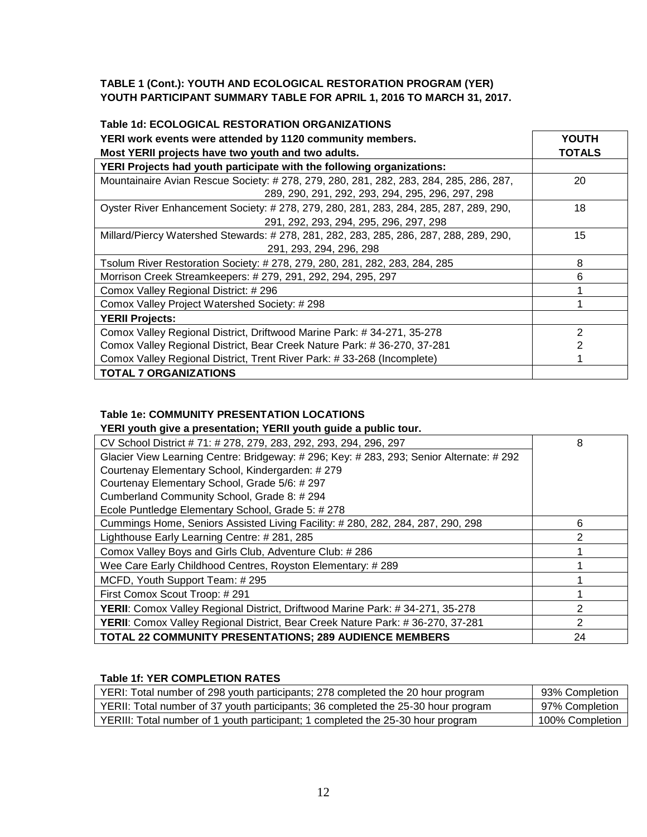## **TABLE 1 (Cont.): YOUTH AND ECOLOGICAL RESTORATION PROGRAM (YER) YOUTH PARTICIPANT SUMMARY TABLE FOR APRIL 1, 2016 TO MARCH 31, 2017.**

| Table 1d: ECOLOGICAL RESTORATION ORGANIZATIONS                                         |                |
|----------------------------------------------------------------------------------------|----------------|
| YERI work events were attended by 1120 community members.                              | <b>YOUTH</b>   |
| Most YERII projects have two youth and two adults.                                     | <b>TOTALS</b>  |
| YERI Projects had youth participate with the following organizations:                  |                |
| Mountainaire Avian Rescue Society: # 278, 279, 280, 281, 282, 283, 284, 285, 286, 287, | 20             |
| 289, 290, 291, 292, 293, 294, 295, 296, 297, 298                                       |                |
| Oyster River Enhancement Society: # 278, 279, 280, 281, 283, 284, 285, 287, 289, 290,  | 18             |
| 291, 292, 293, 294, 295, 296, 297, 298                                                 |                |
| Millard/Piercy Watershed Stewards: #278, 281, 282, 283, 285, 286, 287, 288, 289, 290,  | 15             |
| 291, 293, 294, 296, 298                                                                |                |
| Tsolum River Restoration Society: # 278, 279, 280, 281, 282, 283, 284, 285             | 8              |
| Morrison Creek Streamkeepers: # 279, 291, 292, 294, 295, 297                           | 6              |
| Comox Valley Regional District: #296                                                   |                |
| Comox Valley Project Watershed Society: # 298                                          |                |
| <b>YERII Projects:</b>                                                                 |                |
| Comox Valley Regional District, Driftwood Marine Park: #34-271, 35-278                 | 2              |
| Comox Valley Regional District, Bear Creek Nature Park: #36-270, 37-281                | $\overline{2}$ |
| Comox Valley Regional District, Trent River Park: #33-268 (Incomplete)                 |                |
| <b>TOTAL 7 ORGANIZATIONS</b>                                                           |                |

## **Table 1e: COMMUNITY PRESENTATION LOCATIONS**

**YERI youth give a presentation; YERII youth guide a public tour.** 

| CV School District #71: #278, 279, 283, 292, 293, 294, 296, 297                       | 8             |
|---------------------------------------------------------------------------------------|---------------|
| Glacier View Learning Centre: Bridgeway: #296; Key: #283, 293; Senior Alternate: #292 |               |
| Courtenay Elementary School, Kindergarden: #279                                       |               |
| Courtenay Elementary School, Grade 5/6: # 297                                         |               |
| Cumberland Community School, Grade 8: #294                                            |               |
| Ecole Puntledge Elementary School, Grade 5: #278                                      |               |
| Cummings Home, Seniors Assisted Living Facility: #280, 282, 284, 287, 290, 298        | 6             |
| Lighthouse Early Learning Centre: #281, 285                                           | 2             |
| Comox Valley Boys and Girls Club, Adventure Club: #286                                |               |
| Wee Care Early Childhood Centres, Royston Elementary: #289                            |               |
| MCFD, Youth Support Team: #295                                                        |               |
| First Comox Scout Troop: #291                                                         |               |
| YERII: Comox Valley Regional District, Driftwood Marine Park: #34-271, 35-278         | 2             |
| YERII: Comox Valley Regional District, Bear Creek Nature Park: #36-270, 37-281        | $\mathcal{P}$ |
| <b>TOTAL 22 COMMUNITY PRESENTATIONS; 289 AUDIENCE MEMBERS</b>                         | 24            |

### **Table 1f: YER COMPLETION RATES**

| YERI: Total number of 298 youth participants; 278 completed the 20 hour program   | 93% Completion  |
|-----------------------------------------------------------------------------------|-----------------|
| YERII: Total number of 37 youth participants; 36 completed the 25-30 hour program | 97% Completion  |
| YERIII: Total number of 1 youth participant; 1 completed the 25-30 hour program   | 100% Completion |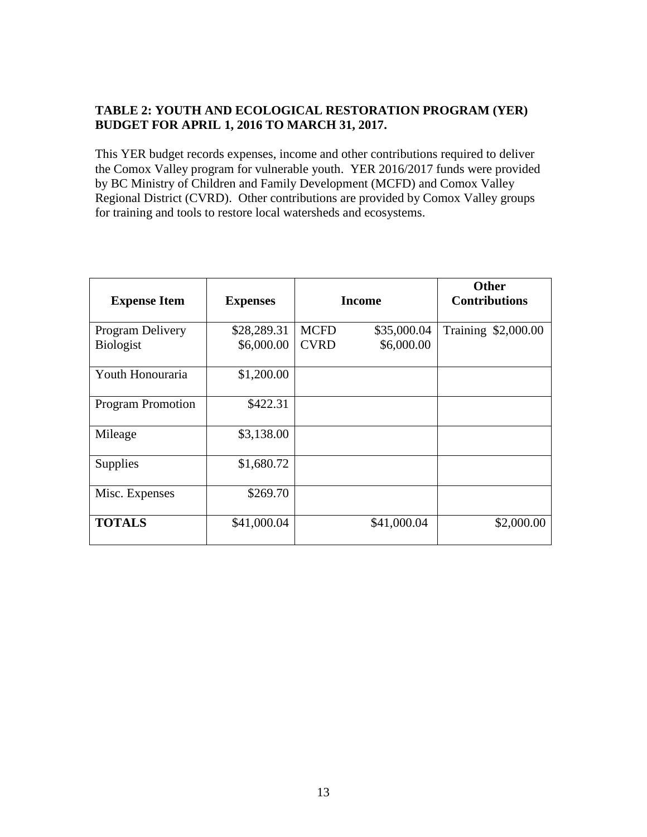## **TABLE 2: YOUTH AND ECOLOGICAL RESTORATION PROGRAM (YER) BUDGET FOR APRIL 1, 2016 TO MARCH 31, 2017.**

This YER budget records expenses, income and other contributions required to deliver the Comox Valley program for vulnerable youth. YER 2016/2017 funds were provided by BC Ministry of Children and Family Development (MCFD) and Comox Valley Regional District (CVRD). Other contributions are provided by Comox Valley groups for training and tools to restore local watersheds and ecosystems.

| <b>Expense Item</b>                  | <b>Expenses</b>           | <b>Income</b>              |                           | <b>Other</b><br><b>Contributions</b> |
|--------------------------------------|---------------------------|----------------------------|---------------------------|--------------------------------------|
| Program Delivery<br><b>Biologist</b> | \$28,289.31<br>\$6,000.00 | <b>MCFD</b><br><b>CVRD</b> | \$35,000.04<br>\$6,000.00 | Training \$2,000.00                  |
| Youth Honouraria                     | \$1,200.00                |                            |                           |                                      |
| <b>Program Promotion</b>             | \$422.31                  |                            |                           |                                      |
| Mileage                              | \$3,138.00                |                            |                           |                                      |
| <b>Supplies</b>                      | \$1,680.72                |                            |                           |                                      |
| Misc. Expenses                       | \$269.70                  |                            |                           |                                      |
| <b>TOTALS</b>                        | \$41,000.04               |                            | \$41,000.04               | \$2,000.00                           |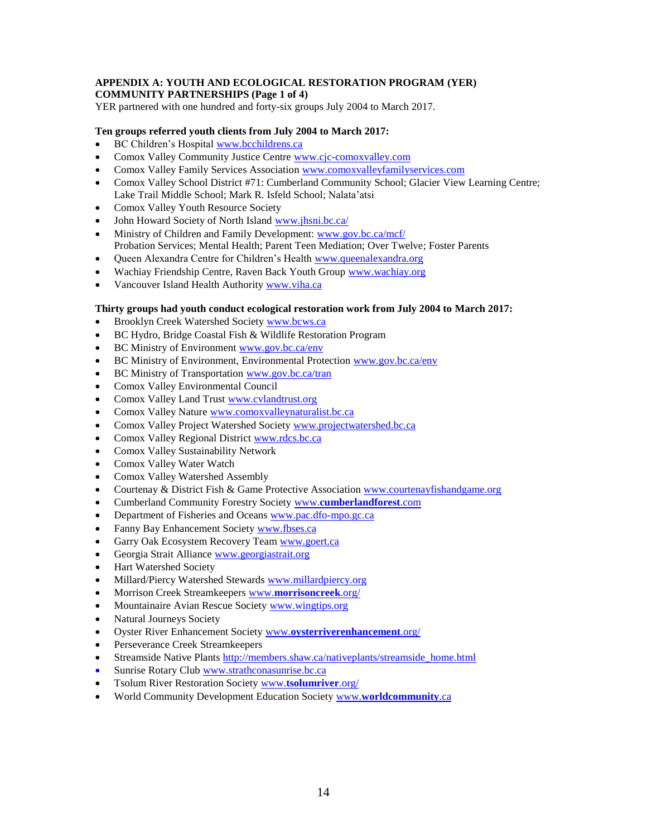#### **APPENDIX A: YOUTH AND ECOLOGICAL RESTORATION PROGRAM (YER) COMMUNITY PARTNERSHIPS (Page 1 of 4)**

YER partnered with one hundred and forty-six groups July 2004 to March 2017.

#### **Ten groups referred youth clients from July 2004 to March 2017:**

- BC Children's Hospital [www.bcchildrens.ca](http://www.bcchildrens.ca/)
- Comox Valley Community Justice Centre [www.cjc-comoxvalley.com](http://www.cjc-comoxvalley.com/)
- Comox Valley Family Services Association [www.comoxvalleyfamilyservices.com](http://www.comoxvalleyfamilyservices.com/)
- Comox Valley School District #71: Cumberland Community School; Glacier View Learning Centre; Lake Trail Middle School; Mark R. Isfeld School; Nalata'atsi
- Comox Valley Youth Resource Society
- John Howard Society of North Island [www.jhsni.bc.ca/](http://www.jhsni.bc.ca/)
- Ministry of Children and Family Development: [www.gov.bc.ca/mcf/](http://www.gov.bc.ca/mcf/) Probation Services; Mental Health; Parent Teen Mediation; Over Twelve; Foster Parents
- Queen Alexandra Centre for Children's Health [www.queenalexandra.org](http://www.queenalexandra.org/)
- Wachiay Friendship Centre, Raven Back Youth Group [www.wachiay.org](http://www.wachiay.org/)
- Vancouver Island Health Authority [www.viha.ca](http://www.viha.ca/)

#### **Thirty groups had youth conduct ecological restoration work from July 2004 to March 2017:**

- Brooklyn Creek Watershed Society [www.bcws.ca](http://www.bcws.ca/)
- BC Hydro, Bridge Coastal Fish & Wildlife Restoration Program
- BC Ministry of Environment [www.gov.bc.ca/env](http://www.gov.bc.ca/env)
- BC Ministry of Environment, Environmental Protection [www.gov.bc.ca/env](http://www.gov.bc.ca/env)
- BC Ministry of Transportation [www.gov.bc.ca/tran](http://www.gov.bc.ca/tran)
- Comox Valley Environmental Council
- Comox Valley Land Trust [www.cvlandtrust.org](http://www.cvlandtrust.org/)
- Comox Valley Nature [www.comoxvalleynaturalist.bc.ca](http://www.comoxvalleynaturalist.bc.ca/)
- Comox Valley Project Watershed Societ[y www.projectwatershed.bc.ca](http://www.projectwatershed.bc.ca/)
- Comox Valley Regional District [www.rdcs.bc.ca](http://www.rdcs.bc.ca/)
- Comox Valley Sustainability Network
- Comox Valley Water Watch
- Comox Valley Watershed Assembly
- Courtenay & District Fish & Game Protective Association [www.courtenayfishandgame.org](http://www.courtenayfishandgame.org/)
- Cumberland Community Forestry Society www.**[cumberlandforest](http://www.cumberlandforest.com/)**.com
- Department of Fisheries and Oceans [www.pac.dfo-mpo.gc.ca](http://www.pac.dfo-mpo.gc.ca/)
- Fanny Bay Enhancement Societ[y www.fbses.ca](http://www.fbses.ca/)
- Garry Oak Ecosystem Recovery Team [www.goert.ca](http://www.goert.ca/)
- Georgia Strait Alliance [www.georgiastrait.org](http://www.georgiastrait.org/)
- Hart Watershed Society
- Millard/Piercy Watershed Stewards [www.millardpiercy.org](http://www.millardpiercy.org/)
- Morrison Creek Streamkeepers www.**[morrisoncreek](http://www.morrisoncreek.org/)**.org/
- Mountainaire Avian Rescue Society [www.wingtips.org](http://www.wingtips.org/)
- Natural Journeys Society
- Oyster River Enhancement Society www.**[oysterriverenhancement](http://www.oysterriverenhancement.org/)**.org/
- Perseverance Creek Streamkeepers
- Streamside Native Plants [http://members.shaw.ca/nativeplants/streamside\\_home.html](http://members.shaw.ca/nativeplants/streamside_home.html)
- Sunrise Rotary Club [www.strathconasunrise.bc.ca](http://www.strathconasunrise.bc.ca/)
- Tsolum River Restoration Society www.**[tsolumriver](http://www.tsolumriver.org/)**.org/
- World Community Development Education Society www.**[worldcommunity](http://www.worldcommunity.ca/)**.ca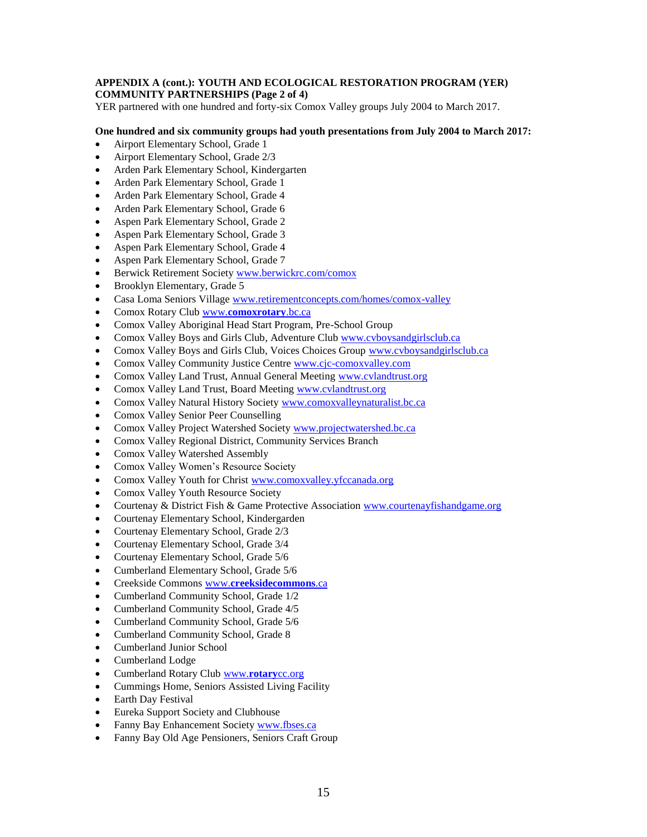#### **APPENDIX A (cont.): YOUTH AND ECOLOGICAL RESTORATION PROGRAM (YER) COMMUNITY PARTNERSHIPS (Page 2 of 4)**

YER partnered with one hundred and forty-six Comox Valley groups July 2004 to March 2017.

#### **One hundred and six community groups had youth presentations from July 2004 to March 2017:**

- Airport Elementary School, Grade 1
- Airport Elementary School, Grade 2/3
- Arden Park Elementary School, Kindergarten
- Arden Park Elementary School, Grade 1
- Arden Park Elementary School, Grade 4
- Arden Park Elementary School, Grade 6
- Aspen Park Elementary School, Grade 2
- Aspen Park Elementary School, Grade 3
- Aspen Park Elementary School, Grade 4
- Aspen Park Elementary School, Grade 7
- Berwick Retirement Society [www.berwickrc.com/comox](http://www.berwickrc.com/comox)
- Brooklyn Elementary, Grade 5
- Casa Loma Seniors Village [www.retirementconcepts.com/homes/comox-valley](http://www.retirementconcepts.com/homes/comox-valley)
- Comox Rotary Club www.**[comoxrotary](http://www.comoxrotary.bc.ca/)**.bc.ca
- Comox Valley Aboriginal Head Start Program, Pre-School Group
- Comox Valley Boys and Girls Club, Adventure Clu[b www.cvboysandgirlsclub.ca](http://www.cvboysandgirlsclub.ca/)
- Comox Valley Boys and Girls Club, Voices Choices Group [www.cvboysandgirlsclub.ca](http://www.cvboysandgirlsclub.ca/)
- Comox Valley Community Justice Centre [www.cjc-comoxvalley.com](http://www.cjc-comoxvalley.com/)
- Comox Valley Land Trust, Annual General Meeting [www.cvlandtrust.org](http://www.cvlandtrust.org/)
- Comox Valley Land Trust, Board Meeting [www.cvlandtrust.org](http://www.cvlandtrust.org/)
- Comox Valley Natural History Society [www.comoxvalleynaturalist.bc.ca](http://www.comoxvalleynaturalist.bc.ca/)
- Comox Valley Senior Peer Counselling
- Comox Valley Project Watershed Societ[y www.projectwatershed.bc.ca](http://www.projectwatershed.bc.ca/)
- Comox Valley Regional District, Community Services Branch
- Comox Valley Watershed Assembly
- Comox Valley Women's Resource Society
- Comox Valley Youth for Chris[t www.comoxvalley.yfccanada.org](http://www.comoxvalley.yfccanada.org/)
- Comox Valley Youth Resource Society
- Courtenay & District Fish & Game Protective Association [www.courtenayfishandgame.org](http://www.courtenayfishandgame.org/)
- Courtenay Elementary School, Kindergarden
- Courtenay Elementary School, Grade 2/3
- Courtenay Elementary School, Grade 3/4
- Courtenay Elementary School, Grade 5/6
- Cumberland Elementary School, Grade 5/6
- Creekside Commons www.**[creeksidecommons](http://www.creeksidecommons.ca/)**.ca
- Cumberland Community School, Grade 1/2
- Cumberland Community School, Grade 4/5
- Cumberland Community School, Grade 5/6
- Cumberland Community School, Grade 8
- Cumberland Junior School
- Cumberland Lodge
- Cumberland Rotary Club www.**[rotary](http://www.rotarycc.org/)**cc.org
- Cummings Home, Seniors Assisted Living Facility
- Earth Day Festival
- Eureka Support Society and Clubhouse
- Fanny Bay Enhancement Societ[y www.fbses.ca](http://www.fbses.ca/)
- Fanny Bay Old Age Pensioners, Seniors Craft Group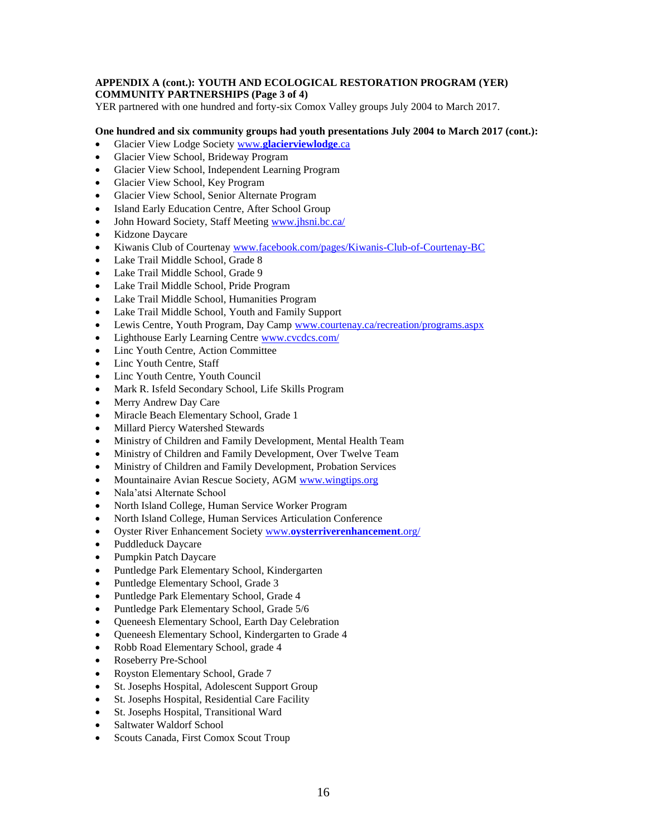#### **APPENDIX A (cont.): YOUTH AND ECOLOGICAL RESTORATION PROGRAM (YER) COMMUNITY PARTNERSHIPS (Page 3 of 4)**

YER partnered with one hundred and forty-six Comox Valley groups July 2004 to March 2017.

#### **One hundred and six community groups had youth presentations July 2004 to March 2017 (cont.):**

- Glacier View Lodge Society www.**[glacierviewlodge](http://www.glacierviewlodge.ca/)**.ca
- Glacier View School, Brideway Program
- Glacier View School, Independent Learning Program
- Glacier View School, Key Program
- Glacier View School, Senior Alternate Program
- Island Early Education Centre, After School Group
- John Howard Society, Staff Meeting [www.jhsni.bc.ca/](http://www.jhsni.bc.ca/)
- Kidzone Daycare
- Kiwanis Club of Courtenay [www.facebook.com/pages/Kiwanis-Club-of-Courtenay-BC](http://www.facebook.com/pages/Kiwanis-Club-of-Courtenay-BC)
- Lake Trail Middle School, Grade 8
- Lake Trail Middle School, Grade 9
- Lake Trail Middle School, Pride Program
- Lake Trail Middle School, Humanities Program
- Lake Trail Middle School, Youth and Family Support
- Lewis Centre, Youth Program, Day Camp [www.courtenay.ca/recreation/programs.aspx](http://www.courtenay.ca/recreation/programs.aspx)
- Lighthouse Early Learning Centre [www.cvcdcs.com/](http://www.cvcdcs.com/)
- Linc Youth Centre, Action Committee
- Linc Youth Centre, Staff
- Linc Youth Centre, Youth Council
- Mark R. Isfeld Secondary School, Life Skills Program
- Merry Andrew Day Care
- Miracle Beach Elementary School, Grade 1
- Millard Piercy Watershed Stewards
- Ministry of Children and Family Development, Mental Health Team
- Ministry of Children and Family Development, Over Twelve Team
- Ministry of Children and Family Development, Probation Services
- Mountainaire Avian Rescue Society, AGM [www.wingtips.org](http://www.wingtips.org/)
- Nala'atsi Alternate School
- North Island College, Human Service Worker Program
- North Island College, Human Services Articulation Conference
- Oyster River Enhancement Society www.**[oysterriverenhancement](http://www.oysterriverenhancement.org/)**.org/
- Puddleduck Daycare
- Pumpkin Patch Daycare
- Puntledge Park Elementary School, Kindergarten
- Puntledge Elementary School, Grade 3
- Puntledge Park Elementary School, Grade 4
- Puntledge Park Elementary School, Grade 5/6
- Queneesh Elementary School, Earth Day Celebration
- Queneesh Elementary School, Kindergarten to Grade 4
- Robb Road Elementary School, grade 4
- Roseberry Pre-School
- Royston Elementary School, Grade 7
- St. Josephs Hospital, Adolescent Support Group
- St. Josephs Hospital, Residential Care Facility
- St. Josephs Hospital, Transitional Ward
- Saltwater Waldorf School
- Scouts Canada, First Comox Scout Troup